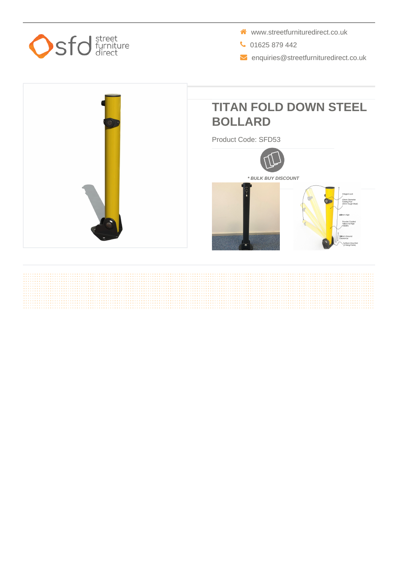

- www.streetfurnituredirect.co.uk
- 01625 879 442
- $\blacktriangleright$  enquiries@streetfurnituredirect.co.uk